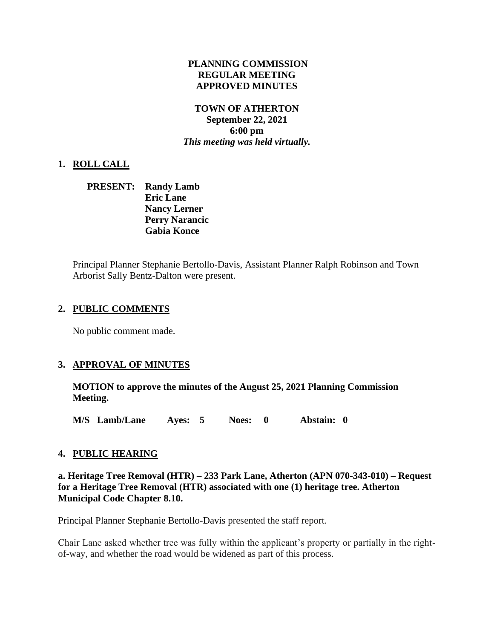## **PLANNING COMMISSION REGULAR MEETING APPROVED MINUTES**

## **TOWN OF ATHERTON September 22, 2021 6:00 pm** *This meeting was held virtually.*

# **1. ROLL CALL**

**PRESENT: Randy Lamb Eric Lane Nancy Lerner Perry Narancic Gabia Konce**

Principal Planner Stephanie Bertollo-Davis, Assistant Planner Ralph Robinson and Town Arborist Sally Bentz-Dalton were present.

## **2. PUBLIC COMMENTS**

No public comment made.

# **3. APPROVAL OF MINUTES**

**MOTION to approve the minutes of the August 25, 2021 Planning Commission Meeting.**

**M/S Lamb/Lane Ayes: 5 Noes: 0 Abstain: 0**

#### **4. PUBLIC HEARING**

**a. Heritage Tree Removal (HTR) – 233 Park Lane, Atherton (APN 070-343-010) – Request for a Heritage Tree Removal (HTR) associated with one (1) heritage tree. Atherton Municipal Code Chapter 8.10.**

Principal Planner Stephanie Bertollo-Davis presented the staff report.

Chair Lane asked whether tree was fully within the applicant's property or partially in the rightof-way, and whether the road would be widened as part of this process.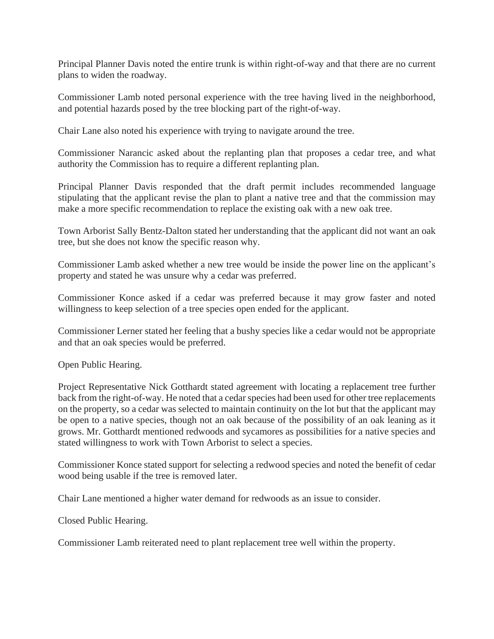Principal Planner Davis noted the entire trunk is within right-of-way and that there are no current plans to widen the roadway.

Commissioner Lamb noted personal experience with the tree having lived in the neighborhood, and potential hazards posed by the tree blocking part of the right-of-way.

Chair Lane also noted his experience with trying to navigate around the tree.

Commissioner Narancic asked about the replanting plan that proposes a cedar tree, and what authority the Commission has to require a different replanting plan.

Principal Planner Davis responded that the draft permit includes recommended language stipulating that the applicant revise the plan to plant a native tree and that the commission may make a more specific recommendation to replace the existing oak with a new oak tree.

Town Arborist Sally Bentz-Dalton stated her understanding that the applicant did not want an oak tree, but she does not know the specific reason why.

Commissioner Lamb asked whether a new tree would be inside the power line on the applicant's property and stated he was unsure why a cedar was preferred.

Commissioner Konce asked if a cedar was preferred because it may grow faster and noted willingness to keep selection of a tree species open ended for the applicant.

Commissioner Lerner stated her feeling that a bushy species like a cedar would not be appropriate and that an oak species would be preferred.

Open Public Hearing.

Project Representative Nick Gotthardt stated agreement with locating a replacement tree further back from the right-of-way. He noted that a cedar species had been used for other tree replacements on the property, so a cedar was selected to maintain continuity on the lot but that the applicant may be open to a native species, though not an oak because of the possibility of an oak leaning as it grows. Mr. Gotthardt mentioned redwoods and sycamores as possibilities for a native species and stated willingness to work with Town Arborist to select a species.

Commissioner Konce stated support for selecting a redwood species and noted the benefit of cedar wood being usable if the tree is removed later.

Chair Lane mentioned a higher water demand for redwoods as an issue to consider.

Closed Public Hearing.

Commissioner Lamb reiterated need to plant replacement tree well within the property.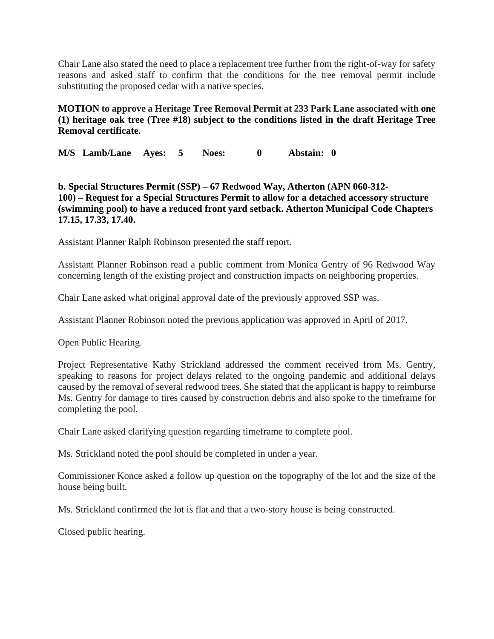Chair Lane also stated the need to place a replacement tree further from the right-of-way for safety reasons and asked staff to confirm that the conditions for the tree removal permit include substituting the proposed cedar with a native species.

**MOTION to approve a Heritage Tree Removal Permit at 233 Park Lane associated with one (1) heritage oak tree (Tree #18) subject to the conditions listed in the draft Heritage Tree Removal certificate.**

**M/S Lamb/Lane Ayes: 5 Noes: 0 Abstain: 0**

**b. [Sp](https://www.ci.atherton.ca.us/DocumentCenter/View/9387/67-Redwood-Combined-Packet-9222021)ecial Structures Permit (SSP) – [67 Redwood Way, Atherton \(APN 060-312-](https://www.ci.atherton.ca.us/DocumentCenter/View/9387/67-Redwood-Combined-Packet-9222021) [100\)](https://www.ci.atherton.ca.us/DocumentCenter/View/9387/67-Redwood-Combined-Packet-9222021) – Request for a Special Structures Permit to allow for a detached accessory structure (swimming pool) to have a reduced front yard setback. Atherton Municipal Code Chapters 17.15, 17.33, 17.40.**

Assistant Planner Ralph Robinson presented the staff report.

Assistant Planner Robinson read a public comment from Monica Gentry of 96 Redwood Way concerning length of the existing project and construction impacts on neighboring properties.

Chair Lane asked what original approval date of the previously approved SSP was.

Assistant Planner Robinson noted the previous application was approved in April of 2017.

Open Public Hearing.

Project Representative Kathy Strickland addressed the comment received from Ms. Gentry, speaking to reasons for project delays related to the ongoing pandemic and additional delays caused by the removal of several redwood trees. She stated that the applicant is happy to reimburse Ms. Gentry for damage to tires caused by construction debris and also spoke to the timeframe for completing the pool.

Chair Lane asked clarifying question regarding timeframe to complete pool.

Ms. Strickland noted the pool should be completed in under a year.

Commissioner Konce asked a follow up question on the topography of the lot and the size of the house being built.

Ms. Strickland confirmed the lot is flat and that a two-story house is being constructed.

Closed public hearing.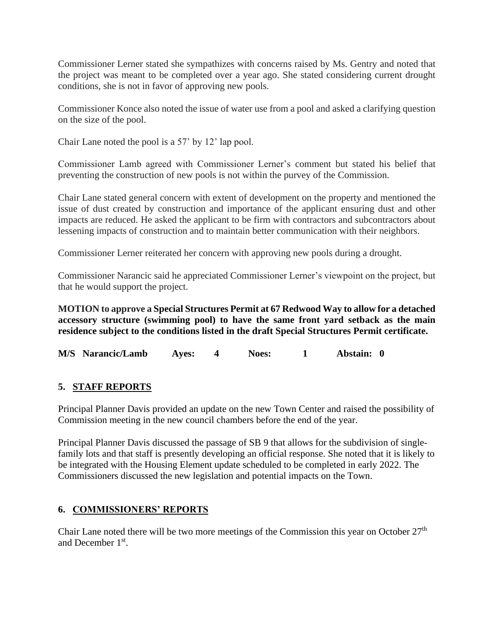Commissioner Lerner stated she sympathizes with concerns raised by Ms. Gentry and noted that the project was meant to be completed over a year ago. She stated considering current drought conditions, she is not in favor of approving new pools.

Commissioner Konce also noted the issue of water use from a pool and asked a clarifying question on the size of the pool.

Chair Lane noted the pool is a 57' by 12' lap pool.

Commissioner Lamb agreed with Commissioner Lerner's comment but stated his belief that preventing the construction of new pools is not within the purvey of the Commission.

Chair Lane stated general concern with extent of development on the property and mentioned the issue of dust created by construction and importance of the applicant ensuring dust and other impacts are reduced. He asked the applicant to be firm with contractors and subcontractors about lessening impacts of construction and to maintain better communication with their neighbors.

Commissioner Lerner reiterated her concern with approving new pools during a drought.

Commissioner Narancic said he appreciated Commissioner Lerner's viewpoint on the project, but that he would support the project.

**MOTION to approve a Special Structures Permit at 67 Redwood Way to allow for a detached accessory structure (swimming pool) to have the same front yard setback as the main residence subject to the conditions listed in the draft Special Structures Permit certificate.**

**M/S Narancic/Lamb Ayes: 4 Noes: 1 Abstain: 0**

# **5. STAFF REPORTS**

Principal Planner Davis provided an update on the new Town Center and raised the possibility of Commission meeting in the new council chambers before the end of the year.

Principal Planner Davis discussed the passage of SB 9 that allows for the subdivision of singlefamily lots and that staff is presently developing an official response. She noted that it is likely to be integrated with the Housing Element update scheduled to be completed in early 2022. The Commissioners discussed the new legislation and potential impacts on the Town.

#### **6. COMMISSIONERS' REPORTS**

Chair Lane noted there will be two more meetings of the Commission this year on October  $27<sup>th</sup>$ and December 1<sup>st</sup>.